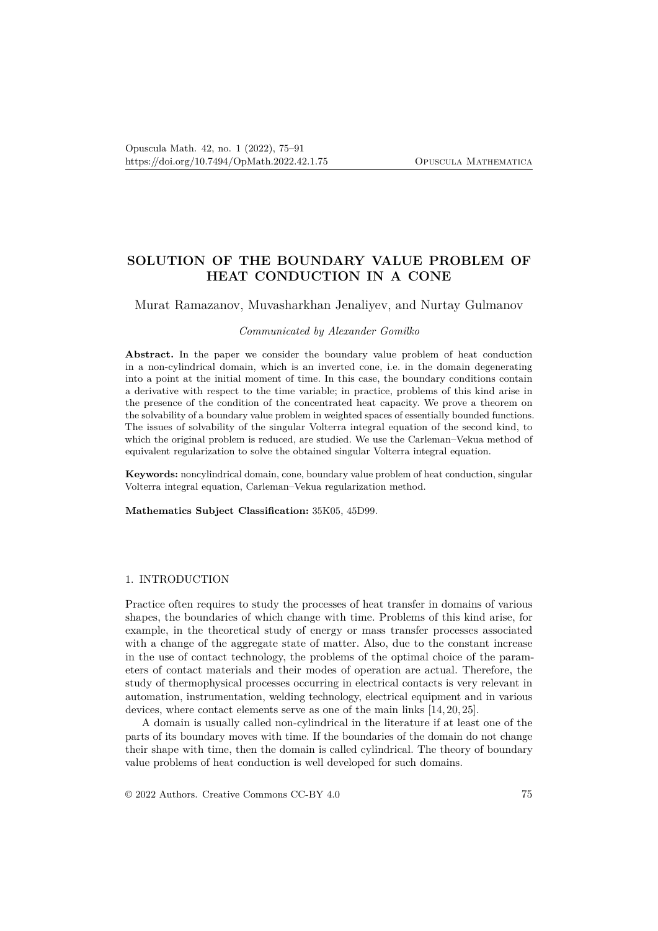# **SOLUTION OF THE BOUNDARY VALUE PROBLEM OF HEAT CONDUCTION IN A CONE**

Murat Ramazanov, Muvasharkhan Jenaliyev, and Nurtay Gulmanov

### *Communicated by Alexander Gomilko*

**Abstract.** In the paper we consider the boundary value problem of heat conduction in a non-cylindrical domain, which is an inverted cone, i.e. in the domain degenerating into a point at the initial moment of time. In this case, the boundary conditions contain a derivative with respect to the time variable; in practice, problems of this kind arise in the presence of the condition of the concentrated heat capacity. We prove a theorem on the solvability of a boundary value problem in weighted spaces of essentially bounded functions. The issues of solvability of the singular Volterra integral equation of the second kind, to which the original problem is reduced, are studied. We use the Carleman–Vekua method of equivalent regularization to solve the obtained singular Volterra integral equation.

**Keywords:** noncylindrical domain, cone, boundary value problem of heat conduction, singular Volterra integral equation, Carleman–Vekua regularization method.

**Mathematics Subject Classification:** 35K05, 45D99.

### 1. INTRODUCTION

Practice often requires to study the processes of heat transfer in domains of various shapes, the boundaries of which change with time. Problems of this kind arise, for example, in the theoretical study of energy or mass transfer processes associated with a change of the aggregate state of matter. Also, due to the constant increase in the use of contact technology, the problems of the optimal choice of the parameters of contact materials and their modes of operation are actual. Therefore, the study of thermophysical processes occurring in electrical contacts is very relevant in automation, instrumentation, welding technology, electrical equipment and in various devices, where contact elements serve as one of the main links [14, 20, 25].

A domain is usually called non-cylindrical in the literature if at least one of the parts of its boundary moves with time. If the boundaries of the domain do not change their shape with time, then the domain is called cylindrical. The theory of boundary value problems of heat conduction is well developed for such domains.

© 2022 Authors. Creative Commons CC-BY 4.0 75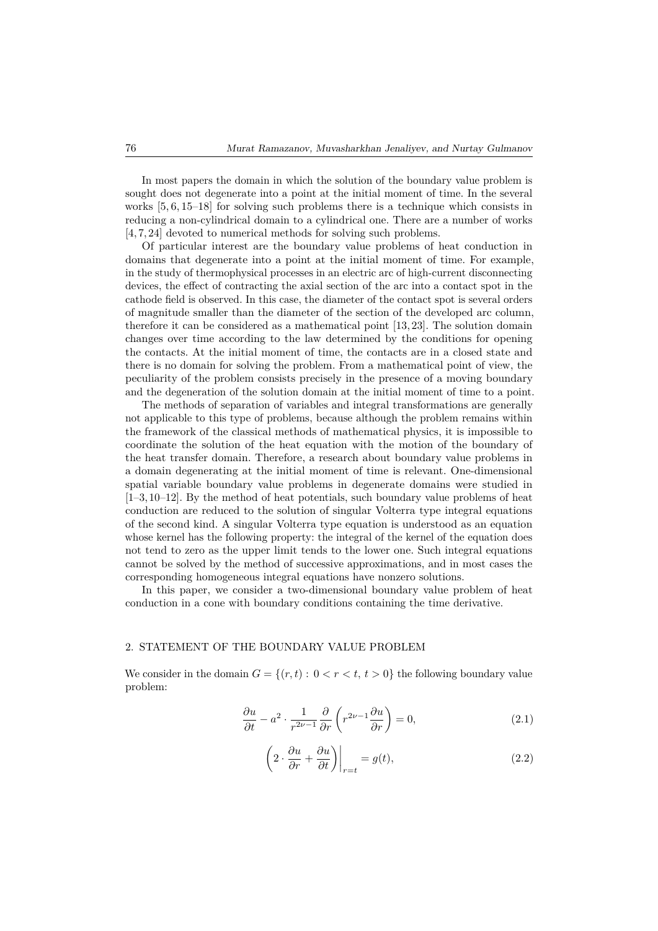In most papers the domain in which the solution of the boundary value problem is sought does not degenerate into a point at the initial moment of time. In the several works [5, 6, 15–18] for solving such problems there is a technique which consists in reducing a non-cylindrical domain to a cylindrical one. There are a number of works [4, 7, 24] devoted to numerical methods for solving such problems.

Of particular interest are the boundary value problems of heat conduction in domains that degenerate into a point at the initial moment of time. For example, in the study of thermophysical processes in an electric arc of high-current disconnecting devices, the effect of contracting the axial section of the arc into a contact spot in the cathode field is observed. In this case, the diameter of the contact spot is several orders of magnitude smaller than the diameter of the section of the developed arc column, therefore it can be considered as a mathematical point [13, 23]. The solution domain changes over time according to the law determined by the conditions for opening the contacts. At the initial moment of time, the contacts are in a closed state and there is no domain for solving the problem. From a mathematical point of view, the peculiarity of the problem consists precisely in the presence of a moving boundary and the degeneration of the solution domain at the initial moment of time to a point.

The methods of separation of variables and integral transformations are generally not applicable to this type of problems, because although the problem remains within the framework of the classical methods of mathematical physics, it is impossible to coordinate the solution of the heat equation with the motion of the boundary of the heat transfer domain. Therefore, a research about boundary value problems in a domain degenerating at the initial moment of time is relevant. One-dimensional spatial variable boundary value problems in degenerate domains were studied in [1–3, 10–12]. By the method of heat potentials, such boundary value problems of heat conduction are reduced to the solution of singular Volterra type integral equations of the second kind. A singular Volterra type equation is understood as an equation whose kernel has the following property: the integral of the kernel of the equation does not tend to zero as the upper limit tends to the lower one. Such integral equations cannot be solved by the method of successive approximations, and in most cases the corresponding homogeneous integral equations have nonzero solutions.

In this paper, we consider a two-dimensional boundary value problem of heat conduction in a cone with boundary conditions containing the time derivative.

## 2. STATEMENT OF THE BOUNDARY VALUE PROBLEM

We consider in the domain  $G = \{(r, t): 0 < r < t, t > 0\}$  the following boundary value problem:

$$
\frac{\partial u}{\partial t} - a^2 \cdot \frac{1}{r^{2\nu - 1}} \frac{\partial}{\partial r} \left( r^{2\nu - 1} \frac{\partial u}{\partial r} \right) = 0, \tag{2.1}
$$

$$
\left(2 \cdot \frac{\partial u}{\partial r} + \frac{\partial u}{\partial t}\right)\Big|_{r=t} = g(t),\tag{2.2}
$$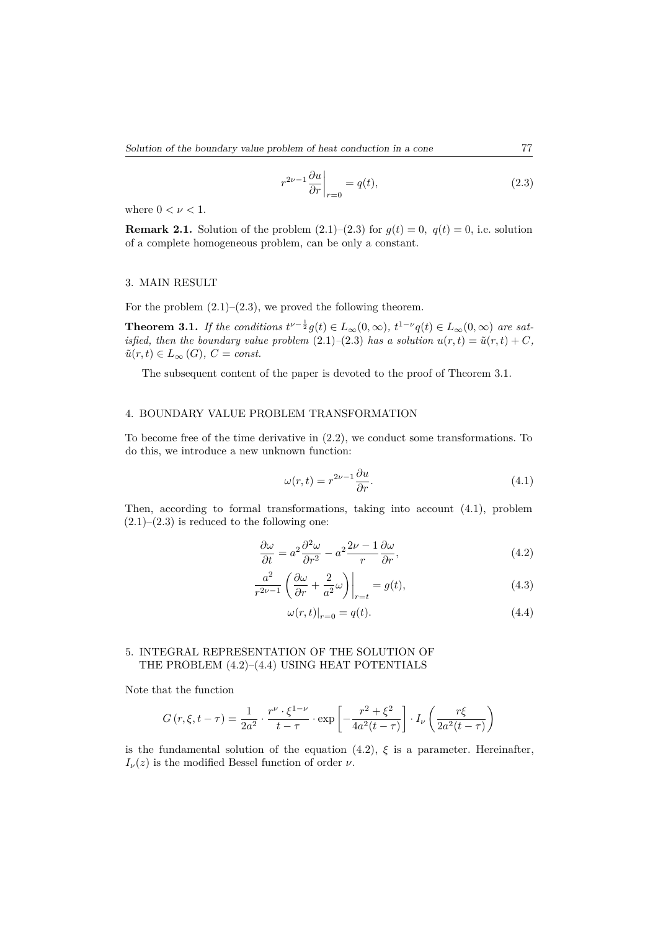$$
r^{2\nu-1} \frac{\partial u}{\partial r}\bigg|_{r=0} = q(t),\tag{2.3}
$$

where  $0 < \nu < 1$ .

**Remark 2.1.** Solution of the problem  $(2.1)$ – $(2.3)$  for  $g(t) = 0$ ,  $q(t) = 0$ , i.e. solution of a complete homogeneous problem, can be only a constant.

### 3. MAIN RESULT

For the problem  $(2.1)$ – $(2.3)$ , we proved the following theorem.

**Theorem 3.1.** *If the conditions*  $t^{\nu-\frac{1}{2}}g(t) \in L_{\infty}(0,\infty)$ ,  $t^{1-\nu}q(t) \in L_{\infty}(0,\infty)$  are sat*isfied, then the boundary value problem*  $(2.1)$ – $(2.3)$  *has a solution*  $u(r,t) = \tilde{u}(r,t) + C$ *,*  $\tilde{u}(r,t) \in L_{\infty}(G), C = const.$ 

The subsequent content of the paper is devoted to the proof of Theorem 3.1.

### 4. BOUNDARY VALUE PROBLEM TRANSFORMATION

To become free of the time derivative in (2.2), we conduct some transformations. To do this, we introduce a new unknown function:

$$
\omega(r,t) = r^{2\nu - 1} \frac{\partial u}{\partial r}.\tag{4.1}
$$

Then, according to formal transformations, taking into account (4.1), problem  $(2.1)$ – $(2.3)$  is reduced to the following one:

$$
\frac{\partial \omega}{\partial t} = a^2 \frac{\partial^2 \omega}{\partial r^2} - a^2 \frac{2\nu - 1}{r} \frac{\partial \omega}{\partial r},\tag{4.2}
$$

$$
\frac{a^2}{r^{2\nu-1}} \left( \frac{\partial \omega}{\partial r} + \frac{2}{a^2} \omega \right) \Big|_{r=t} = g(t),\tag{4.3}
$$

$$
\omega(r,t)|_{r=0} = q(t). \tag{4.4}
$$

## 5. INTEGRAL REPRESENTATION OF THE SOLUTION OF THE PROBLEM (4.2)–(4.4) USING HEAT POTENTIALS

Note that the function

$$
G(r,\xi,t-\tau) = \frac{1}{2a^2} \cdot \frac{r^{\nu} \cdot \xi^{1-\nu}}{t-\tau} \cdot \exp\left[-\frac{r^2+\xi^2}{4a^2(t-\tau)}\right] \cdot I_{\nu}\left(\frac{r\xi}{2a^2(t-\tau)}\right)
$$

is the fundamental solution of the equation  $(4.2)$ ,  $\xi$  is a parameter. Hereinafter, *I<sub>ν</sub>*(*z*) is the modified Bessel function of order *ν*.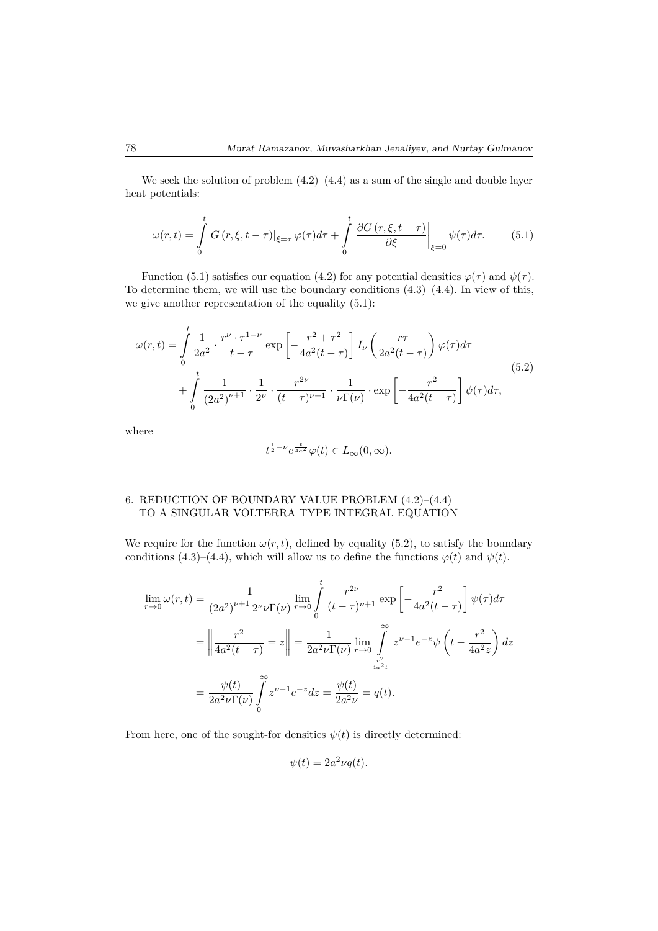We seek the solution of problem  $(4.2)$ – $(4.4)$  as a sum of the single and double layer heat potentials:

$$
\omega(r,t) = \int_{0}^{t} G\left(r,\xi,t-\tau\right)|_{\xi=\tau} \varphi(\tau) d\tau + \int_{0}^{t} \left. \frac{\partial G\left(r,\xi,t-\tau\right)}{\partial \xi} \right|_{\xi=0} \psi(\tau) d\tau. \tag{5.1}
$$

Function (5.1) satisfies our equation (4.2) for any potential densities  $\varphi(\tau)$  and  $\psi(\tau)$ . To determine them, we will use the boundary conditions  $(4.3)$ – $(4.4)$ . In view of this, we give another representation of the equality (5.1):

$$
\omega(r,t) = \int_{0}^{t} \frac{1}{2a^2} \cdot \frac{r^{\nu} \cdot \tau^{1-\nu}}{t-\tau} \exp\left[-\frac{r^2 + \tau^2}{4a^2(t-\tau)}\right] I_{\nu}\left(\frac{r\tau}{2a^2(t-\tau)}\right) \varphi(\tau) d\tau
$$
  
+ 
$$
\int_{0}^{t} \frac{1}{(2a^2)^{\nu+1}} \cdot \frac{1}{2^{\nu}} \cdot \frac{r^{2\nu}}{(t-\tau)^{\nu+1}} \cdot \frac{1}{\nu \Gamma(\nu)} \cdot \exp\left[-\frac{r^2}{4a^2(t-\tau)}\right] \psi(\tau) d\tau,
$$
(5.2)

where

$$
t^{\frac{1}{2}-\nu}e^{\frac{t}{4a^2}}\varphi(t)\in L_{\infty}(0,\infty).
$$

# 6. REDUCTION OF BOUNDARY VALUE PROBLEM (4.2)–(4.4) TO A SINGULAR VOLTERRA TYPE INTEGRAL EQUATION

We require for the function  $\omega(r, t)$ , defined by equality (5.2), to satisfy the boundary conditions (4.3)–(4.4), which will allow us to define the functions  $\varphi(t)$  and  $\psi(t)$ .

$$
\lim_{r \to 0} \omega(r, t) = \frac{1}{(2a^2)^{\nu+1} 2^{\nu} \nu \Gamma(\nu)} \lim_{r \to 0} \int_0^t \frac{r^{2\nu}}{(t - \tau)^{\nu+1}} \exp\left[ -\frac{r^2}{4a^2(t - \tau)} \right] \psi(\tau) d\tau
$$

$$
= \left\| \frac{r^2}{4a^2(t - \tau)} \right\| = \frac{1}{2a^2 \nu \Gamma(\nu)} \lim_{r \to 0} \int_{\frac{r^2}{4a^2t}}^{\infty} z^{\nu-1} e^{-z} \psi\left(t - \frac{r^2}{4a^2z}\right) dz
$$

$$
= \frac{\psi(t)}{2a^2 \nu \Gamma(\nu)} \int_0^{\infty} z^{\nu-1} e^{-z} dz = \frac{\psi(t)}{2a^2 \nu} = q(t).
$$

From here, one of the sought-for densities  $\psi(t)$  is directly determined:

$$
\psi(t) = 2a^2\nu q(t).
$$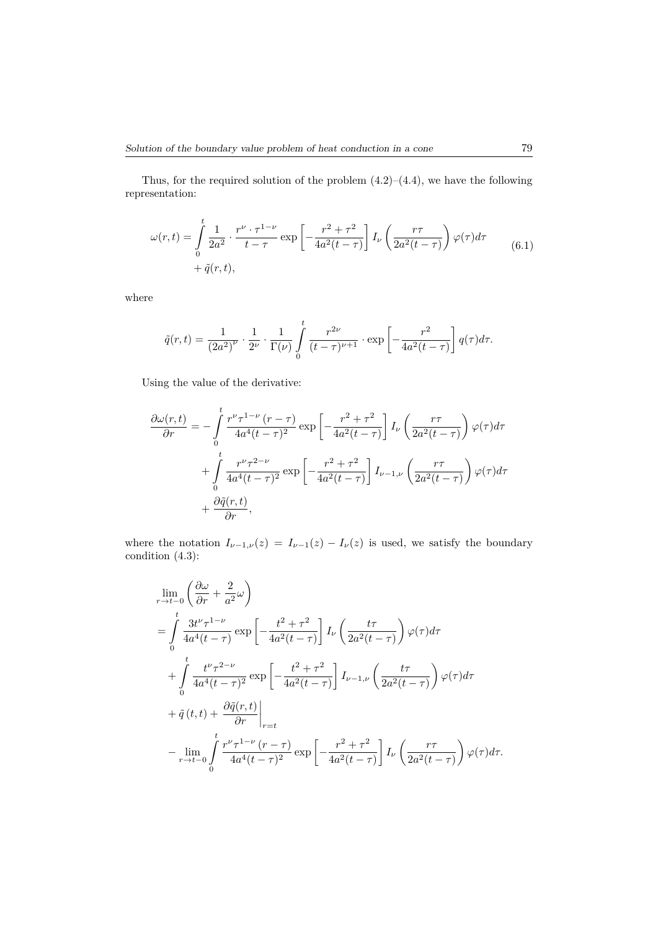Thus, for the required solution of the problem  $(4.2)$ – $(4.4)$ , we have the following representation:

$$
\omega(r,t) = \int_{0}^{t} \frac{1}{2a^2} \cdot \frac{r^{\nu} \cdot \tau^{1-\nu}}{t-\tau} \exp\left[-\frac{r^2 + \tau^2}{4a^2(t-\tau)}\right] I_{\nu}\left(\frac{r\tau}{2a^2(t-\tau)}\right) \varphi(\tau) d\tau + \tilde{q}(r,t),\tag{6.1}
$$

where

$$
\tilde{q}(r,t) = \frac{1}{(2a^2)^{\nu}} \cdot \frac{1}{2^{\nu}} \cdot \frac{1}{\Gamma(\nu)} \int_{0}^{t} \frac{r^{2\nu}}{(t-\tau)^{\nu+1}} \cdot \exp\left[-\frac{r^2}{4a^2(t-\tau)}\right] q(\tau) d\tau.
$$

Using the value of the derivative:

$$
\frac{\partial \omega(r,t)}{\partial r} = -\int_{0}^{t} \frac{r^{\nu} \tau^{1-\nu} (r-\tau)}{4a^4 (t-\tau)^2} \exp\left[-\frac{r^2 + \tau^2}{4a^2 (t-\tau)}\right] I_{\nu} \left(\frac{r\tau}{2a^2 (t-\tau)}\right) \varphi(\tau) d\tau \n+ \int_{0}^{t} \frac{r^{\nu} \tau^{2-\nu}}{4a^4 (t-\tau)^2} \exp\left[-\frac{r^2 + \tau^2}{4a^2 (t-\tau)}\right] I_{\nu-1,\nu} \left(\frac{r\tau}{2a^2 (t-\tau)}\right) \varphi(\tau) d\tau \n+ \frac{\partial \tilde{q}(r,t)}{\partial r},
$$

where the notation  $I_{\nu-1,\nu}(z) = I_{\nu-1}(z) - I_{\nu}(z)$  is used, we satisfy the boundary condition (4.3):

$$
\lim_{r \to t-0} \left( \frac{\partial \omega}{\partial r} + \frac{2}{a^2} \omega \right)
$$
\n
$$
= \int_{0}^{t} \frac{3t^{\nu} \tau^{1-\nu}}{4a^4(t-\tau)} \exp \left[ -\frac{t^2 + \tau^2}{4a^2(t-\tau)} \right] I_{\nu} \left( \frac{t\tau}{2a^2(t-\tau)} \right) \varphi(\tau) d\tau
$$
\n
$$
+ \int_{0}^{t} \frac{t^{\nu} \tau^{2-\nu}}{4a^4(t-\tau)^2} \exp \left[ -\frac{t^2 + \tau^2}{4a^2(t-\tau)} \right] I_{\nu-1,\nu} \left( \frac{t\tau}{2a^2(t-\tau)} \right) \varphi(\tau) d\tau
$$
\n
$$
+ \tilde{q}(t,t) + \left. \frac{\partial \tilde{q}(r,t)}{\partial r} \right|_{r=t}
$$
\n
$$
- \lim_{r \to t-0} \int_{0}^{t} \frac{r^{\nu} \tau^{1-\nu} (r-\tau)}{4a^4(t-\tau)^2} \exp \left[ -\frac{r^2 + \tau^2}{4a^2(t-\tau)} \right] I_{\nu} \left( \frac{r\tau}{2a^2(t-\tau)} \right) \varphi(\tau) d\tau.
$$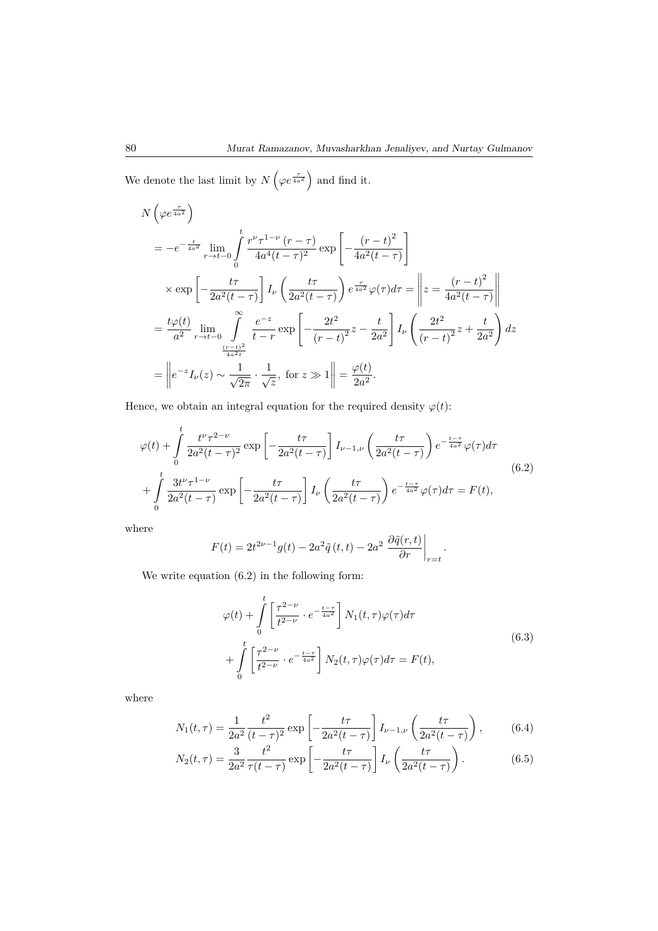We denote the last limit by  $N\left(\varphi e^{\frac{\tau}{4a^2}}\right)$  and find it.

$$
N\left(\varphi e^{\frac{\tau}{4a^2}}\right)
$$
  
=  $-e^{-\frac{t}{4a^2}}\lim_{r \to t-0} \int_{0}^{t} \frac{r^{\nu} \tau^{1-\nu} (r-\tau)}{4a^4 (t-\tau)^2} \exp\left[-\frac{(r-t)^2}{4a^2 (t-\tau)}\right]$   
 $\times \exp\left[-\frac{t\tau}{2a^2 (t-\tau)}\right] I_{\nu} \left(\frac{t\tau}{2a^2 (t-\tau)}\right) e^{\frac{\tau}{4a^2} \varphi(\tau) d\tau = \left\|z = \frac{(r-t)^2}{4a^2 (t-\tau)}\right\|$   
=  $\frac{t\varphi(t)}{a^2} \lim_{r \to t-0} \int_{\frac{(r-t)^2}{4a^2 t}}^{\infty} \frac{e^{-z}}{t-r} \exp\left[-\frac{2t^2}{(r-t)^2}z - \frac{t}{2a^2}\right] I_{\nu} \left(\frac{2t^2}{(r-t)^2}z + \frac{t}{2a^2}\right) dz$   
=  $\left\|e^{-z} I_{\nu}(z) \sim \frac{1}{\sqrt{2\pi}} \cdot \frac{1}{\sqrt{z}}, \text{ for } z \gg 1\right\| = \frac{\varphi(t)}{2a^2}.$ 

Hence, we obtain an integral equation for the required density  $\varphi(t)$ :

$$
\varphi(t) + \int_{0}^{t} \frac{t^{\nu} \tau^{2-\nu}}{2a^2(t-\tau)^2} \exp\left[-\frac{t\tau}{2a^2(t-\tau)}\right] I_{\nu-1,\nu}\left(\frac{t\tau}{2a^2(t-\tau)}\right) e^{-\frac{t-\tau}{4a^2}} \varphi(\tau) d\tau
$$

$$
+ \int_{0}^{t} \frac{3t^{\nu} \tau^{1-\nu}}{2a^2(t-\tau)} \exp\left[-\frac{t\tau}{2a^2(t-\tau)}\right] I_{\nu}\left(\frac{t\tau}{2a^2(t-\tau)}\right) e^{-\frac{t-\tau}{4a^2}} \varphi(\tau) d\tau = F(t), \tag{6.2}
$$

where

$$
F(t) = 2t^{2\nu-1}g(t) - 2a^2\tilde{q}(t,t) - 2a^2 \left. \frac{\partial \tilde{q}(r,t)}{\partial r} \right|_{r=t}.
$$

We write equation  $(6.2)$  in the following form:

$$
\varphi(t) + \int_{0}^{t} \left[ \frac{\tau^{2-\nu}}{t^{2-\nu}} \cdot e^{-\frac{t-\tau}{4a^2}} \right] N_1(t,\tau) \varphi(\tau) d\tau
$$
  
+ 
$$
\int_{0}^{t} \left[ \frac{\tau^{2-\nu}}{t^{2-\nu}} \cdot e^{-\frac{t-\tau}{4a^2}} \right] N_2(t,\tau) \varphi(\tau) d\tau = F(t),
$$
 (6.3)

where

$$
N_1(t,\tau) = \frac{1}{2a^2} \frac{t^2}{(t-\tau)^2} \exp\left[-\frac{t\tau}{2a^2(t-\tau)}\right] I_{\nu-1,\nu}\left(\frac{t\tau}{2a^2(t-\tau)}\right),\tag{6.4}
$$

$$
N_2(t,\tau) = \frac{3}{2a^2} \frac{t^2}{\tau(t-\tau)} \exp\left[-\frac{t\tau}{2a^2(t-\tau)}\right] I_{\nu}\left(\frac{t\tau}{2a^2(t-\tau)}\right). \tag{6.5}
$$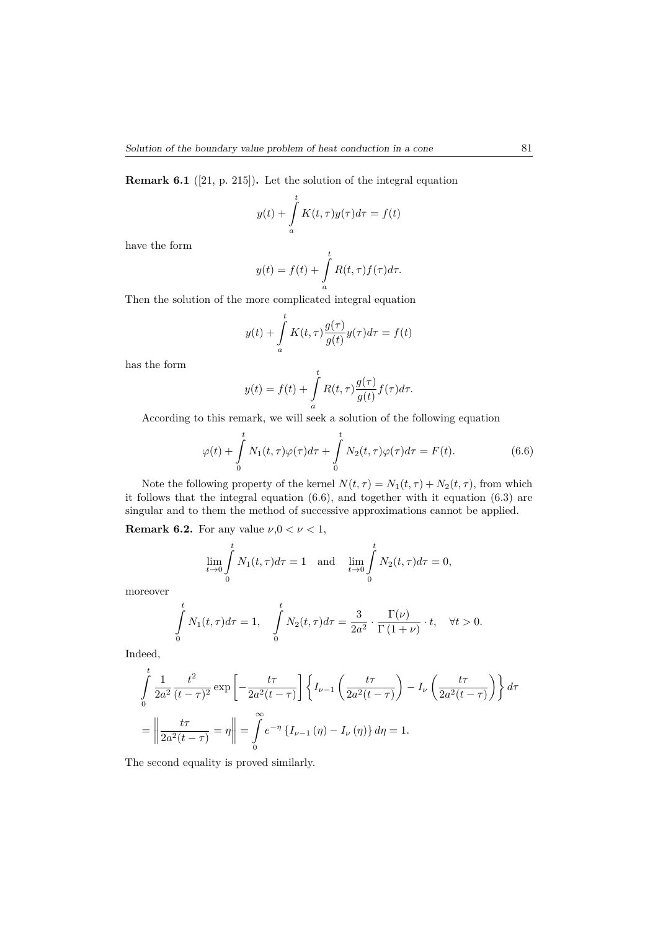$$
y(t) + \int_{a}^{t} K(t, \tau) y(\tau) d\tau = f(t)
$$

have the form

$$
y(t) = f(t) + \int_{a}^{t} R(t, \tau) f(\tau) d\tau.
$$

Then the solution of the more complicated integral equation

$$
y(t) + \int_{a}^{t} K(t, \tau) \frac{g(\tau)}{g(t)} y(\tau) d\tau = f(t)
$$

has the form

$$
y(t) = f(t) + \int_{a}^{t} R(t, \tau) \frac{g(\tau)}{g(t)} f(\tau) d\tau.
$$

According to this remark, we will seek a solution of the following equation

$$
\varphi(t) + \int_{0}^{t} N_1(t,\tau)\varphi(\tau)d\tau + \int_{0}^{t} N_2(t,\tau)\varphi(\tau)d\tau = F(t).
$$
 (6.6)

Note the following property of the kernel  $N(t, \tau) = N_1(t, \tau) + N_2(t, \tau)$ , from which it follows that the integral equation (6.6), and together with it equation (6.3) are singular and to them the method of successive approximations cannot be applied.

**Remark 6.2.** For any value  $\nu, 0 < \nu < 1$ ,

$$
\lim_{t \to 0} \int_{0}^{t} N_1(t, \tau) d\tau = 1 \text{ and } \lim_{t \to 0} \int_{0}^{t} N_2(t, \tau) d\tau = 0,
$$

moreover

$$
\int_{0}^{t} N_{1}(t,\tau)d\tau = 1, \quad \int_{0}^{t} N_{2}(t,\tau)d\tau = \frac{3}{2a^{2}} \cdot \frac{\Gamma(\nu)}{\Gamma(1+\nu)} \cdot t, \quad \forall t > 0.
$$

Indeed,

$$
\int_{0}^{t} \frac{1}{2a^2} \frac{t^2}{(t-\tau)^2} \exp\left[-\frac{t\tau}{2a^2(t-\tau)}\right] \left\{ I_{\nu-1}\left(\frac{t\tau}{2a^2(t-\tau)}\right) - I_{\nu}\left(\frac{t\tau}{2a^2(t-\tau)}\right) \right\} d\tau
$$
\n
$$
= \left\| \frac{t\tau}{2a^2(t-\tau)} \right\| = \int_{0}^{\infty} e^{-\eta} \left\{ I_{\nu-1}(\eta) - I_{\nu}(\eta) \right\} d\eta = 1.
$$

The second equality is proved similarly.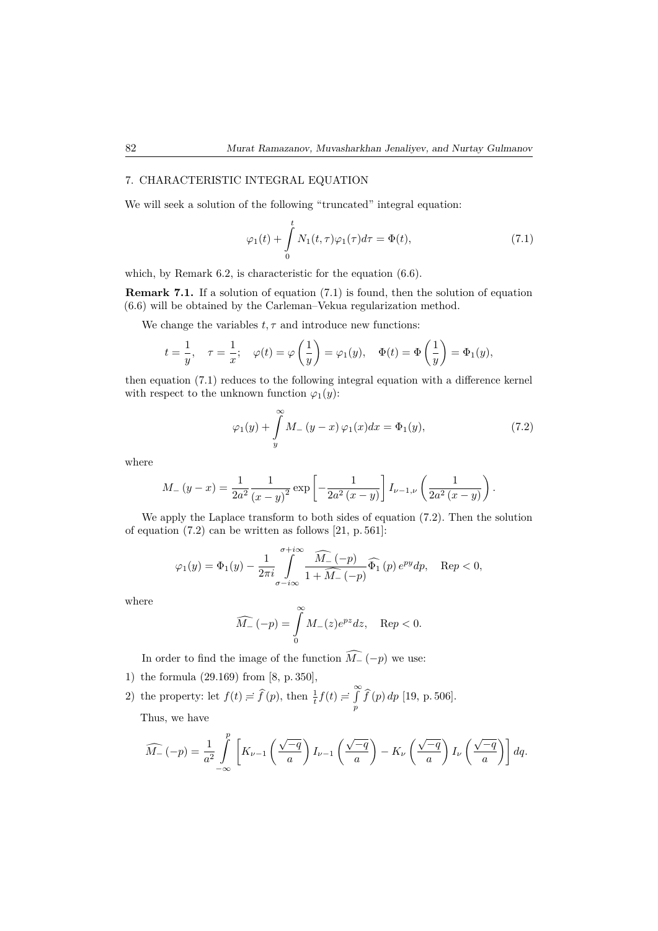## 7. CHARACTERISTIC INTEGRAL EQUATION

We will seek a solution of the following "truncated" integral equation:

$$
\varphi_1(t) + \int_0^t N_1(t, \tau) \varphi_1(\tau) d\tau = \Phi(t), \qquad (7.1)
$$

which, by Remark 6.2, is characteristic for the equation (6.6).

**Remark 7.1.** If a solution of equation (7.1) is found, then the solution of equation (6.6) will be obtained by the Carleman–Vekua regularization method.

We change the variables  $t, \tau$  and introduce new functions:

$$
t = \frac{1}{y}, \quad \tau = \frac{1}{x}; \quad \varphi(t) = \varphi\left(\frac{1}{y}\right) = \varphi_1(y), \quad \Phi(t) = \Phi\left(\frac{1}{y}\right) = \Phi_1(y),
$$

then equation (7.1) reduces to the following integral equation with a difference kernel with respect to the unknown function  $\varphi_1(y)$ :

$$
\varphi_1(y) + \int\limits_y^\infty M_-(y-x)\,\varphi_1(x)dx = \Phi_1(y),\tag{7.2}
$$

where

$$
M_{-}(y-x) = \frac{1}{2a^2} \frac{1}{(x-y)^2} \exp \left[ -\frac{1}{2a^2(x-y)} \right] I_{\nu-1,\nu} \left( \frac{1}{2a^2(x-y)} \right).
$$

We apply the Laplace transform to both sides of equation (7.2). Then the solution of equation (7.2) can be written as follows [21, p. 561]:

$$
\varphi_1(y) = \Phi_1(y) - \frac{1}{2\pi i} \int_{\sigma - i\infty}^{\sigma + i\infty} \frac{\widehat{M}_{-}(-p)}{1 + \widehat{M}_{-}(-p)} \widehat{\Phi_1}(p) e^{py} dp, \quad \text{Re} p < 0,
$$

where

$$
\widehat{M_-}\left(-p\right)=\int\limits_0^\infty M_-(z)e^{pz}dz,\quad\mathrm{Re}p<0.
$$

In order to find the image of the function  $\widehat{M}_{-}(-p)$  we use:

- 1) the formula (29*.*169) from [8, p. 350],
- 2) the property: let  $f(t) = \hat{f}(p)$ , then  $\frac{1}{t}f(t) = \hat{f}(p)$ *p f*b(*p*) *dp* [19, p. 506]. Thus, we have

$$
\widehat{M}_{-}(-p) = \frac{1}{a^2} \int_{-\infty}^p \left[ K_{\nu-1} \left( \frac{\sqrt{-q}}{a} \right) I_{\nu-1} \left( \frac{\sqrt{-q}}{a} \right) - K_{\nu} \left( \frac{\sqrt{-q}}{a} \right) I_{\nu} \left( \frac{\sqrt{-q}}{a} \right) \right] dq.
$$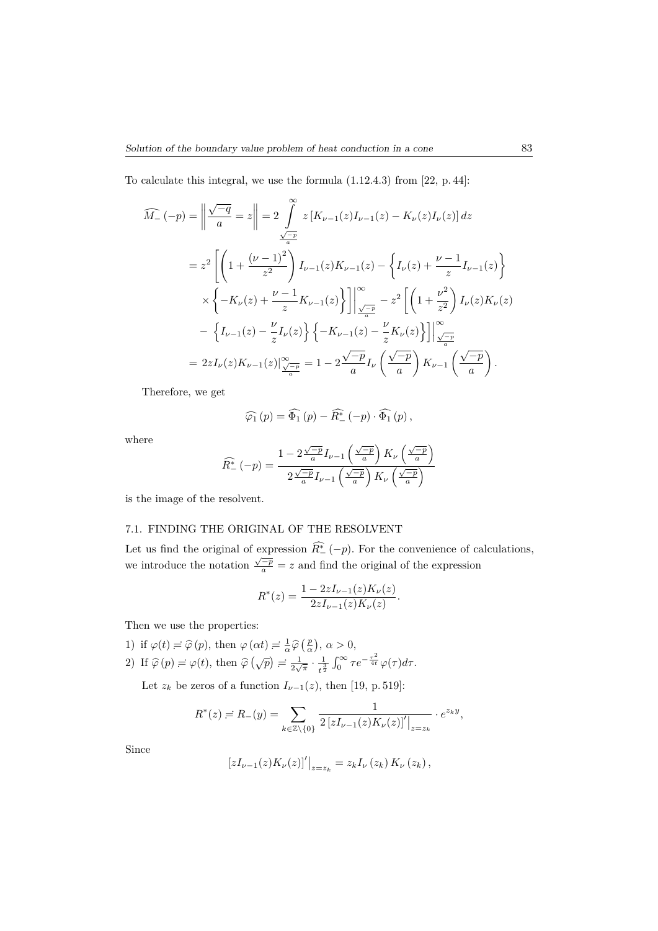To calculate this integral, we use the formula (1*.*12*.*4*.*3) from [22, p. 44]:

$$
\widehat{M_{-}}(-p) = \left\| \frac{\sqrt{-q}}{a} = z \right\| = 2 \int_{\frac{\sqrt{-p}}{a}}^{x} z \left[ K_{\nu-1}(z) I_{\nu-1}(z) - K_{\nu}(z) I_{\nu}(z) \right] dz
$$
  
\n
$$
= z^{2} \left[ \left( 1 + \frac{(\nu - 1)^{2}}{z^{2}} \right) I_{\nu-1}(z) K_{\nu-1}(z) - \left\{ I_{\nu}(z) + \frac{\nu - 1}{z} I_{\nu-1}(z) \right\}
$$
  
\n
$$
\times \left\{ -K_{\nu}(z) + \frac{\nu - 1}{z} K_{\nu-1}(z) \right\} \right\} \Big|_{\frac{\sqrt{-p}}{a}}^{\infty} - z^{2} \left[ \left( 1 + \frac{\nu^{2}}{z^{2}} \right) I_{\nu}(z) K_{\nu}(z) - \left\{ I_{\nu-1}(z) - \frac{\nu}{z} I_{\nu}(z) \right\} \left\{ -K_{\nu-1}(z) - \frac{\nu}{z} K_{\nu}(z) \right\} \right] \Big|_{\frac{\sqrt{-p}}{a}}^{\infty}
$$
  
\n
$$
= 2z I_{\nu}(z) K_{\nu-1}(z) \Big|_{\frac{\sqrt{-p}}{a}}^{\infty} = 1 - 2 \frac{\sqrt{-p}}{a} I_{\nu} \left( \frac{\sqrt{-p}}{a} \right) K_{\nu-1} \left( \frac{\sqrt{-p}}{a} \right).
$$

Therefore, we get

$$
\widehat{\varphi_1}\left(p\right) = \widehat{\Phi_1}\left(p\right) - \widehat{R^*_{-}}\left(-p\right) \cdot \widehat{\Phi_1}\left(p\right),
$$

where

$$
\widehat{R_{-}^*}(-p) = \frac{1 - 2\frac{\sqrt{-p}}{a}I_{\nu-1}\left(\frac{\sqrt{-p}}{a}\right)K_{\nu}\left(\frac{\sqrt{-p}}{a}\right)}{2\frac{\sqrt{-p}}{a}I_{\nu-1}\left(\frac{\sqrt{-p}}{a}\right)K_{\nu}\left(\frac{\sqrt{-p}}{a}\right)}
$$

is the image of the resolvent.

# 7.1. FINDING THE ORIGINAL OF THE RESOLVENT

Let us find the original of expression  $\overline{R_{-}^*}(-p)$ . For the convenience of calculations, we introduce the notation  $\frac{\sqrt{-p}}{a} = z$  and find the original of the expression

$$
R^*(z) = \frac{1 - 2zI_{\nu-1}(z)K_{\nu}(z)}{2zI_{\nu-1}(z)K_{\nu}(z)}.
$$

Then we use the properties:

1) if  $\varphi(t) = \hat{\varphi}(p)$ , then  $\varphi(\alpha t) = \frac{1}{\alpha} \hat{\varphi}(\frac{p}{\alpha}), \alpha > 0$ , 2) If  $\hat{\varphi}(p) = \varphi(t)$ , then  $\hat{\varphi}(\sqrt{p}) = \frac{1}{2\sqrt{\pi}} \cdot \frac{1}{t^{\frac{5}{2}}}$  $\frac{1}{t^{\frac{3}{2}}}$   $\int_0^\infty \tau e^{-\frac{\tau^2}{4t}} \varphi(\tau) d\tau$ .

Let  $z_k$  be zeros of a function  $I_{\nu-1}(z)$ , then [19, p. 519]:

$$
R^*(z) = R_-(y) = \sum_{k \in \mathbb{Z} \setminus \{0\}} \frac{1}{2 \left[ z I_{\nu-1}(z) K_{\nu}(z) \right]' \big|_{z=z_k}} \cdot e^{z_k y},
$$

Since

$$
[zI_{\nu-1}(z)K_{\nu}(z)]' \big|_{z=z_k} = z_k I_{\nu}(z_k) K_{\nu}(z_k),
$$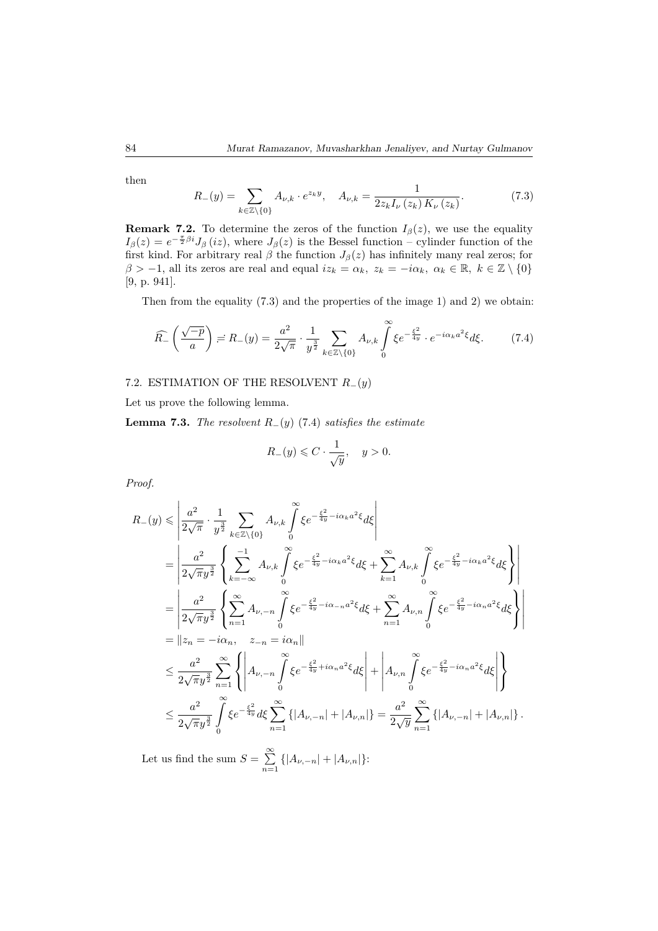then

$$
R_{-}(y) = \sum_{k \in \mathbb{Z} \setminus \{0\}} A_{\nu,k} \cdot e^{z_k y}, \quad A_{\nu,k} = \frac{1}{2z_k I_{\nu}(z_k) K_{\nu}(z_k)}.
$$
 (7.3)

**Remark 7.2.** To determine the zeros of the function  $I_\beta(z)$ , we use the equality  $I_{\beta}(z) = e^{-\frac{\pi}{2}\beta i}J_{\beta}(iz)$ , where  $J_{\beta}(z)$  is the Bessel function – cylinder function of the first kind. For arbitrary real  $\beta$  the function  $J_{\beta}(z)$  has infinitely many real zeros; for  $\beta > -1$ , all its zeros are real and equal  $iz_k = \alpha_k$ ,  $z_k = -i\alpha_k$ ,  $\alpha_k \in \mathbb{R}$ ,  $k \in \mathbb{Z} \setminus \{0\}$ [9, p. 941].

Then from the equality (7.3) and the properties of the image 1) and 2) we obtain:

$$
\widehat{R_{-}}\left(\frac{\sqrt{-p}}{a}\right) = R_{-}(y) = \frac{a^2}{2\sqrt{\pi}} \cdot \frac{1}{y^{\frac{3}{2}}} \sum_{k \in \mathbb{Z} \setminus \{0\}} A_{\nu,k} \int_{0}^{\infty} \xi e^{-\frac{\xi^2}{4y}} \cdot e^{-i\alpha_k a^2 \xi} d\xi.
$$
 (7.4)

## 7.2. ESTIMATION OF THE RESOLVENT *R*−(*y*)

Let us prove the following lemma.

**Lemma 7.3.** *The resolvent*  $R_-(y)$  (7.4) *satisfies the estimate* 

$$
R_-(y) \leqslant C \cdot \frac{1}{\sqrt{y}}, \quad y > 0.
$$

*Proof.*

$$
R_{-}(y) \leq \left| \frac{a^2}{2\sqrt{\pi}} \cdot \frac{1}{y^{\frac{3}{2}}} \sum_{k \in \mathbb{Z} \setminus \{0\}} A_{\nu,k} \int_{0}^{\infty} \xi e^{-\frac{\xi^2}{4y} - i\alpha_{k}a^2\xi} d\xi \right|
$$
  
\n
$$
= \left| \frac{a^2}{2\sqrt{\pi}y^{\frac{3}{2}}} \left\{ \sum_{k=-\infty}^{-1} A_{\nu,k} \int_{0}^{\infty} \xi e^{-\frac{\xi^2}{4y} - i\alpha_{k}a^2\xi} d\xi + \sum_{k=1}^{\infty} A_{\nu,k} \int_{0}^{\infty} \xi e^{-\frac{\xi^2}{4y} - i\alpha_{k}a^2\xi} d\xi \right\} \right|
$$
  
\n
$$
= \left| \frac{a^2}{2\sqrt{\pi}y^{\frac{3}{2}}} \left\{ \sum_{n=1}^{\infty} A_{\nu,-n} \int_{0}^{\infty} \xi e^{-\frac{\xi^2}{4y} - i\alpha_{-n}a^2\xi} d\xi + \sum_{n=1}^{\infty} A_{\nu,n} \int_{0}^{\infty} \xi e^{-\frac{\xi^2}{4y} - i\alpha_{n}a^2\xi} d\xi \right\} \right|
$$
  
\n
$$
= \left| \left| z_n = -i\alpha_n, \quad z_{-n} = i\alpha_n \right|
$$
  
\n
$$
\leq \frac{a^2}{2\sqrt{\pi}y^{\frac{3}{2}}} \sum_{n=1}^{\infty} \left\{ \left| A_{\nu,-n} \int_{0}^{\infty} \xi e^{-\frac{\xi^2}{4y} + i\alpha_n a^2\xi} d\xi \right| + \left| A_{\nu,n} \int_{0}^{\infty} \xi e^{-\frac{\xi^2}{4y} - i\alpha_n a^2\xi} d\xi \right| \right\}
$$
  
\n
$$
\leq \frac{a^2}{2\sqrt{\pi}y^{\frac{3}{2}}} \int_{0}^{\infty} \xi e^{-\frac{\xi^2}{4y}} d\xi \sum_{n=1}^{\infty} \left\{ \left| A_{\nu,-n} \right| + \left| A_{\nu,n} \right| \right\} = \frac{a^
$$

Let us find the sum  $S = \sum_{n=1}^{\infty}$  $\sum_{n=1}$  { $|A_{\nu,-n}| + |A_{\nu,n}|$ }: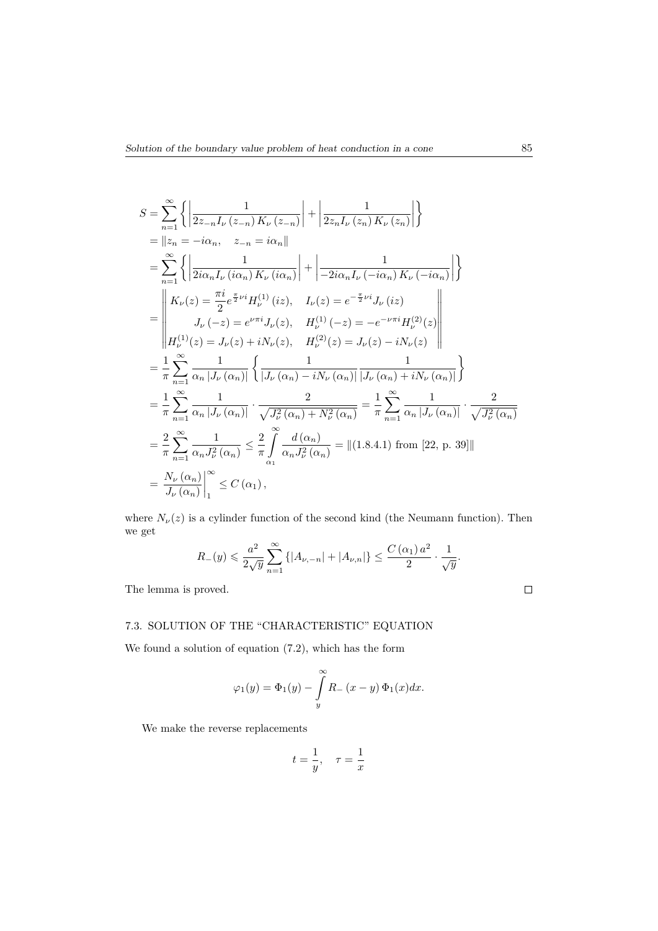$$
S = \sum_{n=1}^{\infty} \left\{ \left| \frac{1}{2z_{-n}I_{\nu}(z_{-n}) K_{\nu}(z_{-n})} \right| + \left| \frac{1}{2z_{n}I_{\nu}(z_{n}) K_{\nu}(z_{n})} \right| \right\}
$$
  
\n
$$
= \|z_{n} = -i\alpha_{n}, \quad z_{-n} = i\alpha_{n} \|
$$
  
\n
$$
= \sum_{n=1}^{\infty} \left\{ \left| \frac{1}{2i\alpha_{n}I_{\nu}(i\alpha_{n}) K_{\nu}(i\alpha_{n})} \right| + \left| \frac{1}{-2i\alpha_{n}I_{\nu}(-i\alpha_{n}) K_{\nu}(-i\alpha_{n})} \right| \right\}
$$
  
\n
$$
= \left| \begin{array}{cc} K_{\nu}(z) = \frac{\pi i}{2} e^{\frac{\pi}{2}\nu i} H_{\nu}^{(1)}(iz), & I_{\nu}(z) = e^{-\frac{\pi}{2}\nu i} J_{\nu}(iz) \\ J_{\nu}(-z) = e^{\nu\pi i} J_{\nu}(z), & H_{\nu}^{(1)}(-z) = -e^{-\nu\pi i} H_{\nu}^{(2)}(z) \\ H_{\nu}^{(1)}(z) = J_{\nu}(z) + iN_{\nu}(z), & H_{\nu}^{(2)}(z) = J_{\nu}(z) - iN_{\nu}(z) \end{array} \right|
$$
  
\n
$$
= \frac{1}{\pi} \sum_{n=1}^{\infty} \frac{1}{\alpha_{n} |J_{\nu}(\alpha_{n})|} \left\{ \frac{1}{|J_{\nu}(\alpha_{n}) - iN_{\nu}(\alpha_{n})|} \frac{1}{|J_{\nu}(\alpha_{n}) + iN_{\nu}(\alpha_{n})|} \right\}
$$
  
\n
$$
= \frac{1}{\pi} \sum_{n=1}^{\infty} \frac{1}{\alpha_{n} |J_{\nu}(\alpha_{n})|} \cdot \frac{2}{\sqrt{J_{\nu}^{2}(\alpha_{n}) + N_{\nu}^{2}(\alpha_{n})}} = \frac{1}{\pi} \sum_{n=1}^{\infty} \frac{1}{\alpha_{n} |J_{\nu}(\alpha_{n})|} \cdot \frac{2}{\sqrt{J_{\nu}^{2}(\alpha_{n})}} =
$$

where  $N_{\nu}(z)$  is a cylinder function of the second kind (the Neumann function). Then we get

$$
R_{-}(y) \leqslant \frac{a^2}{2\sqrt{y}} \sum_{n=1}^{\infty} \left\{ |A_{\nu,-n}| + |A_{\nu,n}| \right\} \leq \frac{C(\alpha_1) a^2}{2} \cdot \frac{1}{\sqrt{y}}.
$$

The lemma is proved.

# 7.3. SOLUTION OF THE "CHARACTERISTIC" EQUATION

We found a solution of equation (7.2), which has the form

$$
\varphi_1(y) = \Phi_1(y) - \int\limits_y^\infty R_-(x-y)\,\Phi_1(x)dx.
$$

We make the reverse replacements

$$
t = \frac{1}{y}, \quad \tau = \frac{1}{x}
$$

 $\Box$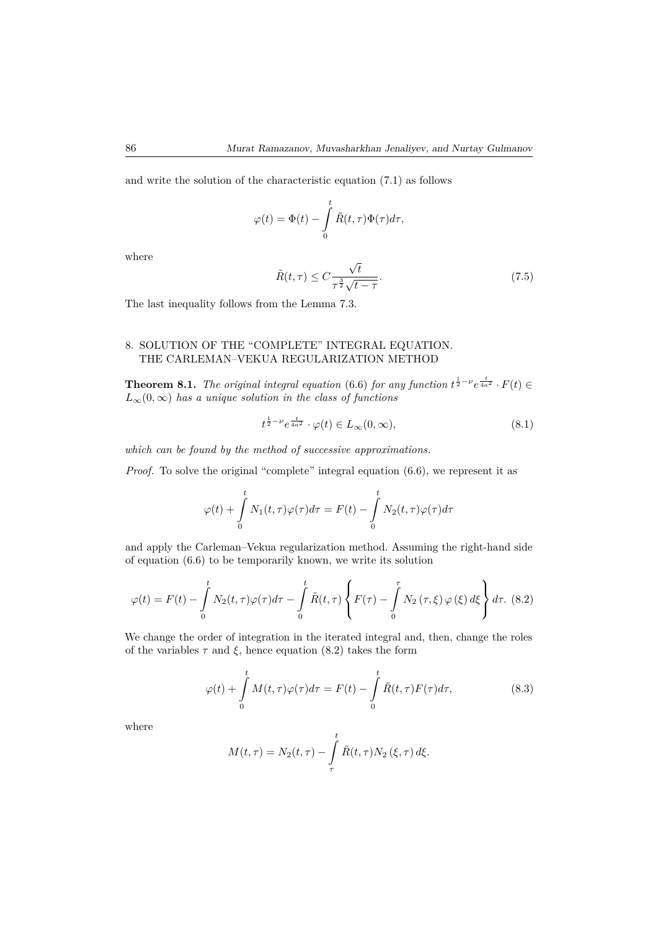and write the solution of the characteristic equation (7.1) as follows

$$
\varphi(t) = \Phi(t) - \int_{0}^{t} \tilde{R}(t, \tau) \Phi(\tau) d\tau,
$$

where

$$
\tilde{R}(t,\tau) \le C \frac{\sqrt{t}}{\tau^{\frac{3}{2}}\sqrt{t-\tau}}.\tag{7.5}
$$

The last inequality follows from the Lemma 7.3.

# 8. SOLUTION OF THE "COMPLETE" INTEGRAL EQUATION. THE CARLEMAN–VEKUA REGULARIZATION METHOD

**Theorem 8.1.** *The original integral equation* (6.6) *for any function*  $t^{\frac{1}{2}-\nu}e^{\frac{t}{4a^2}} \cdot F(t) \in$  $L_{\infty}(0,\infty)$  *has a unique solution in the class of functions* 

$$
t^{\frac{1}{2}-\nu}e^{\frac{t}{4a^2}} \cdot \varphi(t) \in L_{\infty}(0,\infty), \tag{8.1}
$$

*which can be found by the method of successive approximations.*

*Proof.* To solve the original "complete" integral equation (6.6), we represent it as

$$
\varphi(t) + \int_{0}^{t} N_1(t,\tau)\varphi(\tau)d\tau = F(t) - \int_{0}^{t} N_2(t,\tau)\varphi(\tau)d\tau
$$

and apply the Carleman–Vekua regularization method. Assuming the right-hand side of equation (6.6) to be temporarily known, we write its solution

$$
\varphi(t) = F(t) - \int_{0}^{t} N_2(t, \tau) \varphi(\tau) d\tau - \int_{0}^{t} \tilde{R}(t, \tau) \left\{ F(\tau) - \int_{0}^{\tau} N_2(\tau, \xi) \varphi(\xi) d\xi \right\} d\tau. \tag{8.2}
$$

We change the order of integration in the iterated integral and, then, change the roles of the variables  $\tau$  and  $\xi$ , hence equation (8.2) takes the form

$$
\varphi(t) + \int_{0}^{t} M(t,\tau)\varphi(\tau)d\tau = F(t) - \int_{0}^{t} \tilde{R}(t,\tau)F(\tau)d\tau,
$$
\n(8.3)

where

$$
M(t,\tau) = N_2(t,\tau) - \int_{\tau}^{t} \tilde{R}(t,\tau) N_2(\xi,\tau) d\xi.
$$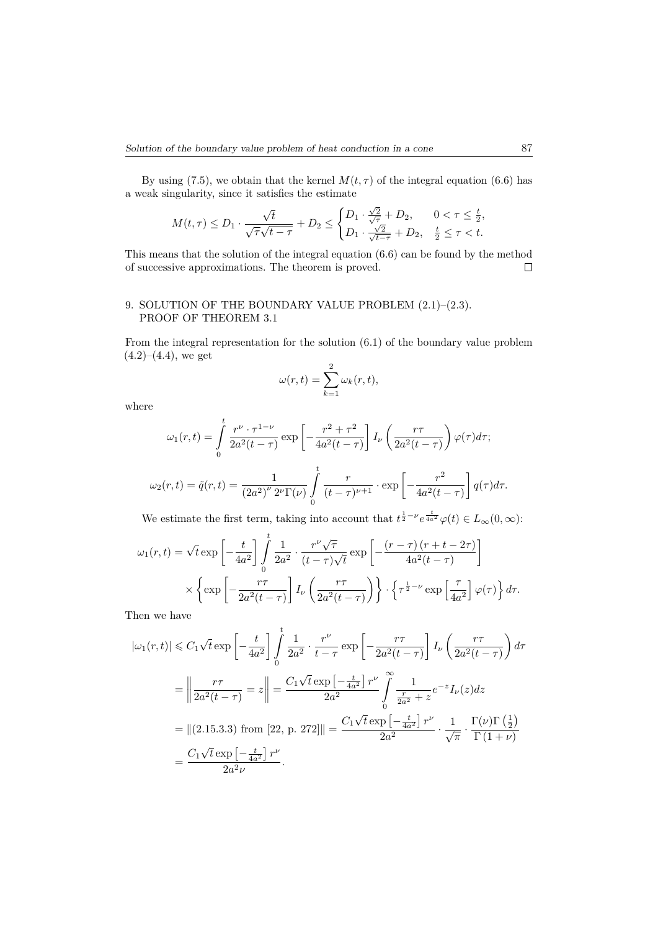By using (7.5), we obtain that the kernel  $M(t, \tau)$  of the integral equation (6.6) has a weak singularity, since it satisfies the estimate

$$
M(t,\tau)\leq D_1\cdot\frac{\sqrt{t}}{\sqrt{\tau}\sqrt{t-\tau}}+D_2\leq \begin{cases} D_1\cdot\frac{\sqrt{2}}{\sqrt{\tau}}+D_2, &0<\tau\leq\frac{t}{2},\\ D_1\cdot\frac{\sqrt{2}}{\sqrt{t-\tau}}+D_2, &\frac{t}{2}\leq\tau
$$

This means that the solution of the integral equation (6.6) can be found by the method of successive approximations. The theorem is proved.  $\Box$ 

## 9. SOLUTION OF THE BOUNDARY VALUE PROBLEM (2.1)–(2.3). PROOF OF THEOREM 3.1

From the integral representation for the solution (6.1) of the boundary value problem  $(4.2)–(4.4)$ , we get

$$
\omega(r,t) = \sum_{k=1}^{2} \omega_k(r,t),
$$

where

$$
\omega_1(r,t) = \int_0^t \frac{r^{\nu} \cdot \tau^{1-\nu}}{2a^2(t-\tau)} \exp\left[-\frac{r^2 + \tau^2}{4a^2(t-\tau)}\right] I_{\nu}\left(\frac{r\tau}{2a^2(t-\tau)}\right) \varphi(\tau) d\tau;
$$

$$
\omega_2(r,t) = \tilde{q}(r,t) = \frac{1}{(2a^2)^{\nu} 2^{\nu} \Gamma(\nu)} \int_0^t \frac{r}{(t-\tau)^{\nu+1}} \cdot \exp\left[-\frac{r^2}{4a^2(t-\tau)}\right] q(\tau) d\tau.
$$

We estimate the first term, taking into account that  $t^{\frac{1}{2}-\nu}e^{\frac{t}{4a^2}}\varphi(t) \in L_{\infty}(0,\infty)$ :

$$
\omega_1(r,t) = \sqrt{t} \exp\left[-\frac{t}{4a^2}\right] \int_0^t \frac{1}{2a^2} \cdot \frac{r^{\nu}\sqrt{\tau}}{(t-\tau)\sqrt{t}} \exp\left[-\frac{(r-\tau)(r+t-2\tau)}{4a^2(t-\tau)}\right] \times \left\{\exp\left[-\frac{r\tau}{2a^2(t-\tau)}\right] I_{\nu}\left(\frac{r\tau}{2a^2(t-\tau)}\right)\right\} \cdot \left\{\tau^{\frac{1}{2}-\nu} \exp\left[\frac{\tau}{4a^2}\right] \varphi(\tau)\right\} d\tau.
$$

Then we have

$$
|\omega_1(r,t)| \leq C_1 \sqrt{t} \exp\left[-\frac{t}{4a^2}\right] \int_0^t \frac{1}{2a^2} \cdot \frac{r^{\nu}}{t-\tau} \exp\left[-\frac{r\tau}{2a^2(t-\tau)}\right] I_{\nu} \left(\frac{r\tau}{2a^2(t-\tau)}\right) d\tau
$$

$$
= \left\|\frac{r\tau}{2a^2(t-\tau)}\right\| = \frac{C_1 \sqrt{t} \exp\left[-\frac{t}{4a^2}\right] r^{\nu}}{2a^2} \int_0^{\infty} \frac{1}{\frac{r}{2a^2} + z} e^{-z} I_{\nu}(z) dz
$$

$$
= \| (2.15.3.3) \text{ from } [22, p. 272] \| = \frac{C_1 \sqrt{t} \exp\left[-\frac{t}{4a^2}\right] r^{\nu}}{2a^2} \cdot \frac{1}{\sqrt{\pi}} \cdot \frac{\Gamma(\nu)\Gamma\left(\frac{1}{2}\right)}{\Gamma\left(1+\nu\right)}
$$

$$
= \frac{C_1 \sqrt{t} \exp\left[-\frac{t}{4a^2}\right] r^{\nu}}{2a^2 \nu}.
$$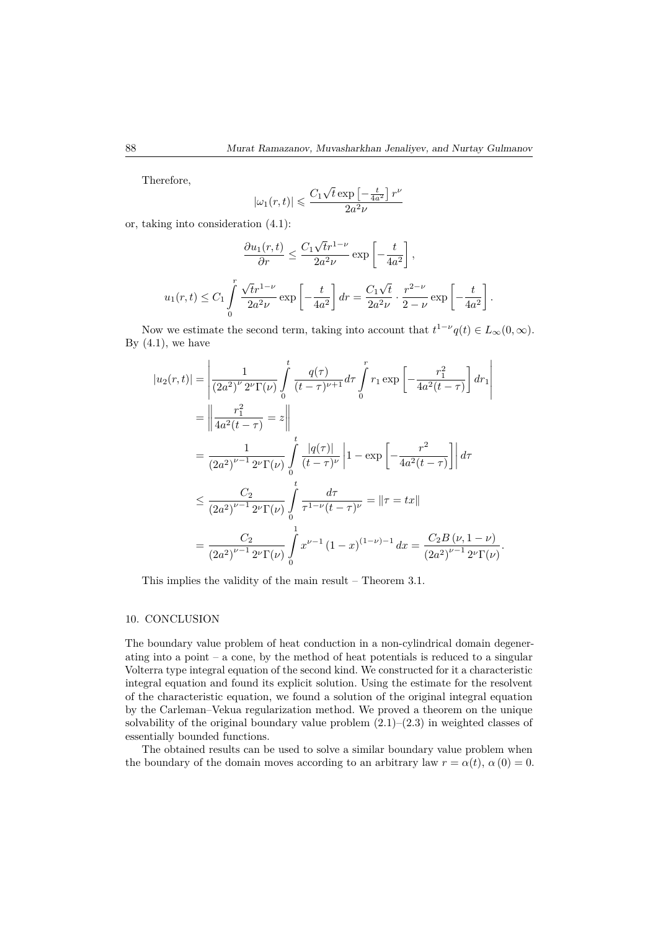Therefore,

$$
|\omega_1(r,t)|\leqslant \frac{C_1\sqrt{t}\exp\left[-\frac{t}{4a^2}\right]r^{\nu}}{2a^2\nu}
$$

or, taking into consideration (4.1):

$$
\frac{\partial u_1(r,t)}{\partial r} \le \frac{C_1 \sqrt{t}r^{1-\nu}}{2a^2 \nu} \exp\left[-\frac{t}{4a^2}\right],
$$
  

$$
u_1(r,t) \le C_1 \int_0^r \frac{\sqrt{t}r^{1-\nu}}{2a^2 \nu} \exp\left[-\frac{t}{4a^2}\right] dr = \frac{C_1 \sqrt{t}}{2a^2 \nu} \cdot \frac{r^{2-\nu}}{2-\nu} \exp\left[-\frac{t}{4a^2}\right].
$$

Now we estimate the second term, taking into account that  $t^{1-\nu}q(t) \in L_{\infty}(0,\infty)$ . By  $(4.1)$ , we have

$$
|u_2(r,t)| = \left| \frac{1}{(2a^2)^{\nu} 2^{\nu} \Gamma(\nu)} \int_0^t \frac{q(\tau)}{(t-\tau)^{\nu+1}} d\tau \int_0^r r_1 \exp\left[ -\frac{r_1^2}{4a^2(t-\tau)} \right] dr_1 \right|
$$
  
\n
$$
= \left| \frac{r_1^2}{4a^2(t-\tau)} \right| = z \left| \frac{1}{(2a^2)^{\nu-1} 2^{\nu} \Gamma(\nu)} \int_0^t \frac{|q(\tau)|}{(t-\tau)^{\nu}} \left| 1 - \exp\left[ -\frac{r^2}{4a^2(t-\tau)} \right] \right| d\tau
$$
  
\n
$$
\leq \frac{C_2}{(2a^2)^{\nu-1} 2^{\nu} \Gamma(\nu)} \int_0^t \frac{d\tau}{\tau^{1-\nu}(t-\tau)^{\nu}} = ||\tau| = |r|
$$
  
\n
$$
= \frac{C_2}{(2a^2)^{\nu-1} 2^{\nu} \Gamma(\nu)} \int_0^1 x^{\nu-1} (1-x)^{(1-\nu)-1} dx = \frac{C_2 B(\nu, 1-\nu)}{(2a^2)^{\nu-1} 2^{\nu} \Gamma(\nu)}.
$$

This implies the validity of the main result – Theorem 3.1.

#### 10. CONCLUSION

The boundary value problem of heat conduction in a non-cylindrical domain degenerating into a point  $-$  a cone, by the method of heat potentials is reduced to a singular Volterra type integral equation of the second kind. We constructed for it a characteristic integral equation and found its explicit solution. Using the estimate for the resolvent of the characteristic equation, we found a solution of the original integral equation by the Carleman–Vekua regularization method. We proved a theorem on the unique solvability of the original boundary value problem  $(2.1)$ – $(2.3)$  in weighted classes of essentially bounded functions.

The obtained results can be used to solve a similar boundary value problem when the boundary of the domain moves according to an arbitrary law  $r = \alpha(t)$ ,  $\alpha(0) = 0$ .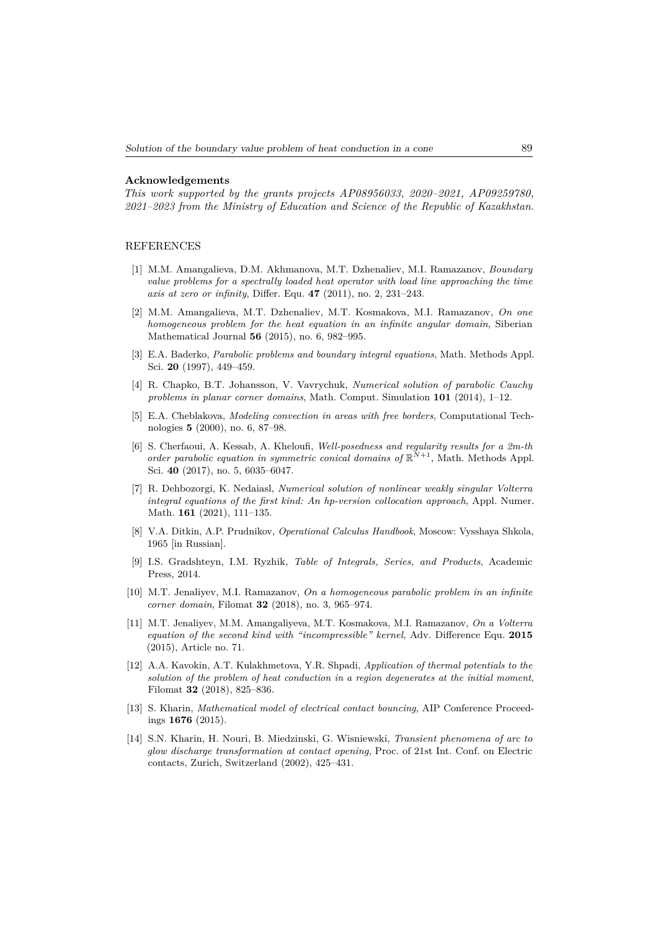### **Acknowledgements**

*This work supported by the grants projects AP08956033, 2020–2021, AP09259780, 2021–2023 from the Ministry of Education and Science of the Republic of Kazakhstan.*

#### REFERENCES

- [1] M.M. Amangalieva, D.M. Akhmanova, M.T. Dzhenaliev, M.I. Ramazanov, *Boundary value problems for a spectrally loaded heat operator with load line approaching the time axis at zero or infinity*, Differ. Equ. **47** (2011), no. 2, 231–243.
- [2] M.M. Amangalieva, M.T. Dzhenaliev, M.T. Kosmakova, M.I. Ramazanov, *On one homogeneous problem for the heat equation in an infinite angular domain*, Siberian Mathematical Journal **56** (2015), no. 6, 982–995.
- [3] E.A. Baderko, *Parabolic problems and boundary integral equations*, Math. Methods Appl. Sci. **20** (1997), 449–459.
- [4] R. Chapko, B.T. Johansson, V. Vavrychuk, *Numerical solution of parabolic Cauchy problems in planar corner domains*, Math. Comput. Simulation **101** (2014), 1–12.
- [5] E.A. Cheblakova, *Modeling convection in areas with free borders*, Computational Technologies **5** (2000), no. 6, 87–98.
- [6] S. Cherfaoui, A. Kessab, A. Kheloufi, *Well-posedness and regularity results for a 2m-th order parabolic equation in symmetric conical domains of*  $\mathbb{R}^{N+1}$ , Math. Methods Appl. Sci. **40** (2017), no. 5, 6035–6047.
- [7] R. Dehbozorgi, K. Nedaiasl, *Numerical solution of nonlinear weakly singular Volterra integral equations of the first kind: An hp-version collocation approach*, Appl. Numer. Math. **161** (2021), 111–135.
- [8] V.A. Ditkin, A.P. Prudnikov, *Operational Calculus Handbook*, Moscow: Vysshaya Shkola, 1965 [in Russian].
- [9] I.S. Gradshteyn, I.M. Ryzhik, *Table of Integrals, Series, and Products*, Academic Press, 2014.
- [10] M.T. Jenaliyev, M.I. Ramazanov, *On a homogeneous parabolic problem in an infinite corner domain*, Filomat **32** (2018), no. 3, 965–974.
- [11] M.T. Jenaliyev, M.M. Amangaliyeva, M.T. Kosmakova, M.I. Ramazanov, *On a Volterra equation of the second kind with "incompressible" kernel*, Adv. Difference Equ. **2015** (2015), Article no. 71.
- [12] A.A. Kavokin, A.T. Kulakhmetova, Y.R. Shpadi, *Application of thermal potentials to the solution of the problem of heat conduction in a region degenerates at the initial moment*, Filomat **32** (2018), 825–836.
- [13] S. Kharin, *Mathematical model of electrical contact bouncing*, AIP Conference Proceedings **1676** (2015).
- [14] S.N. Kharin, H. Nouri, B. Miedzinski, G. Wisniewski, *Transient phenomena of arc to glow discharge transformation at contact opening*, Proc. of 21st Int. Conf. on Electric contacts, Zurich, Switzerland (2002), 425–431.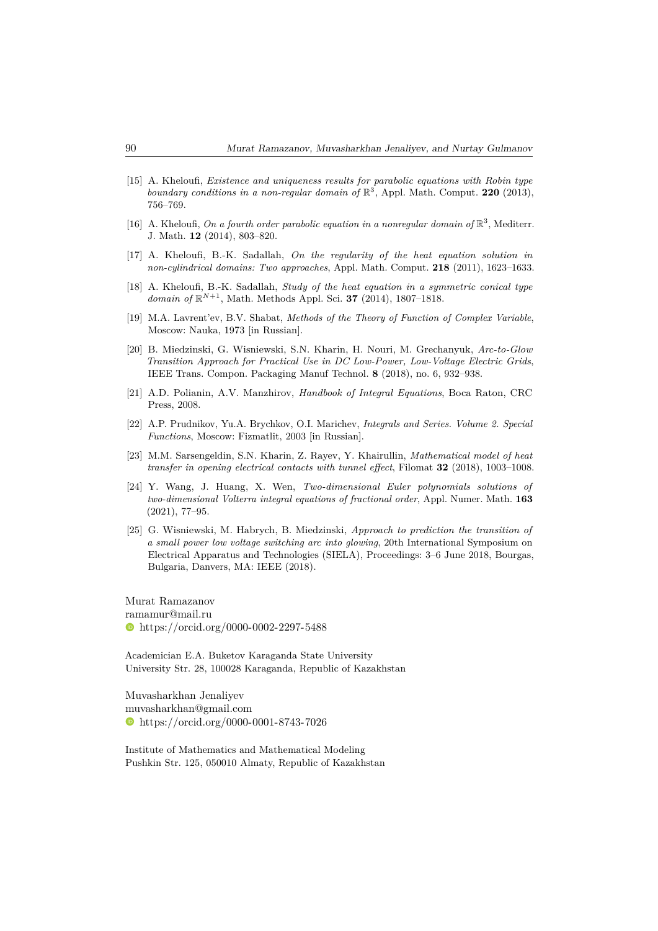- [15] A. Kheloufi, *Existence and uniqueness results for parabolic equations with Robin type boundary conditions in a non-regular domain of* R 3 , Appl. Math. Comput. **220** (2013), 756–769.
- [16] A. Kheloufi, *On a fourth order parabolic equation in a nonregular domain of*  $\mathbb{R}^3$ , Mediterr. J. Math. **12** (2014), 803–820.
- [17] A. Kheloufi, B.-K. Sadallah, *On the regularity of the heat equation solution in non-cylindrical domains: Two approaches*, Appl. Math. Comput. **218** (2011), 1623–1633.
- [18] A. Kheloufi, B.-K. Sadallah, *Study of the heat equation in a symmetric conical type domain of*  $\mathbb{R}^{N+1}$ , Math. Methods Appl. Sci. **37** (2014), 1807–1818.
- [19] M.A. Lavrent'ev, B.V. Shabat, *Methods of the Theory of Function of Complex Variable*, Moscow: Nauka, 1973 [in Russian].
- [20] B. Miedzinski, G. Wisniewski, S.N. Kharin, H. Nouri, M. Grechanyuk, *Arc-to-Glow Transition Approach for Practical Use in DC Low-Power, Low-Voltage Electric Grids*, IEEE Trans. Compon. Packaging Manuf Technol. **8** (2018), no. 6, 932–938.
- [21] A.D. Polianin, A.V. Manzhirov, *Handbook of Integral Equations*, Boca Raton, CRC Press, 2008.
- [22] A.P. Prudnikov, Yu.A. Brychkov, O.I. Marichev, *Integrals and Series. Volume 2. Special Functions*, Moscow: Fizmatlit, 2003 [in Russian].
- [23] M.M. Sarsengeldin, S.N. Kharin, Z. Rayev, Y. Khairullin, *Mathematical model of heat transfer in opening electrical contacts with tunnel effect*, Filomat **32** (2018), 1003–1008.
- [24] Y. Wang, J. Huang, X. Wen, *Two-dimensional Euler polynomials solutions of two-dimensional Volterra integral equations of fractional order*, Appl. Numer. Math. **163** (2021), 77–95.
- [25] G. Wisniewski, M. Habrych, B. Miedzinski, *Approach to prediction the transition of a small power low voltage switching arc into glowing*, 20th International Symposium on Electrical Apparatus and Technologies (SIELA), Proceedings: 3–6 June 2018, Bourgas, Bulgaria, Danvers, MA: IEEE (2018).

Murat Ramazanov ramamur@mail.ru https://orcid.org/0000-0002-2297-5488

Academician E.A. Buketov Karaganda State University University Str. 28, 100028 Karaganda, Republic of Kazakhstan

Muvasharkhan Jenaliyev muvasharkhan@gmail.com https://orcid.org/0000-0001-8743-7026

Institute of Mathematics and Mathematical Modeling Pushkin Str. 125, 050010 Almaty, Republic of Kazakhstan